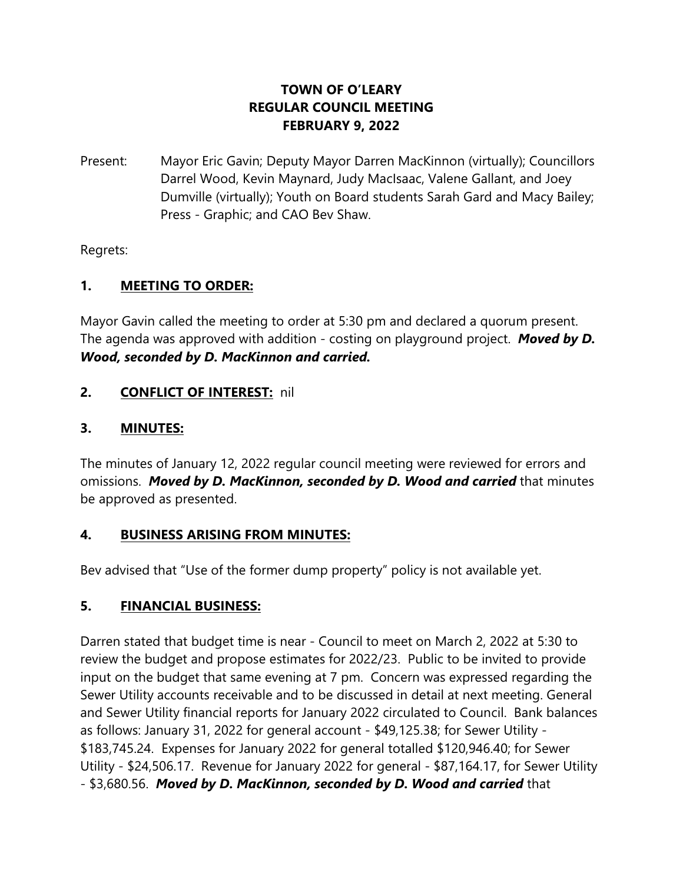## **TOWN OF O'LEARY REGULAR COUNCIL MEETING FEBRUARY 9, 2022**

Present: Mayor Eric Gavin; Deputy Mayor Darren MacKinnon (virtually); Councillors Darrel Wood, Kevin Maynard, Judy MacIsaac, Valene Gallant, and Joey Dumville (virtually); Youth on Board students Sarah Gard and Macy Bailey; Press - Graphic; and CAO Bev Shaw.

Regrets:

## **1. MEETING TO ORDER:**

Mayor Gavin called the meeting to order at 5:30 pm and declared a quorum present. The agenda was approved with addition - costing on playground project. *Moved by D. Wood, seconded by D. MacKinnon and carried.*

## **2. CONFLICT OF INTEREST:** nil

#### **3. MINUTES:**

The minutes of January 12, 2022 regular council meeting were reviewed for errors and omissions. *Moved by D. MacKinnon, seconded by D. Wood and carried* that minutes be approved as presented.

#### **4. BUSINESS ARISING FROM MINUTES:**

Bev advised that "Use of the former dump property" policy is not available yet.

## **5. FINANCIAL BUSINESS:**

Darren stated that budget time is near - Council to meet on March 2, 2022 at 5:30 to review the budget and propose estimates for 2022/23. Public to be invited to provide input on the budget that same evening at 7 pm. Concern was expressed regarding the Sewer Utility accounts receivable and to be discussed in detail at next meeting. General and Sewer Utility financial reports for January 2022 circulated to Council. Bank balances as follows: January 31, 2022 for general account - \$49,125.38; for Sewer Utility - \$183,745.24. Expenses for January 2022 for general totalled \$120,946.40; for Sewer Utility - \$24,506.17. Revenue for January 2022 for general - \$87,164.17, for Sewer Utility - \$3,680.56. *Moved by D. MacKinnon, seconded by D. Wood and carried* that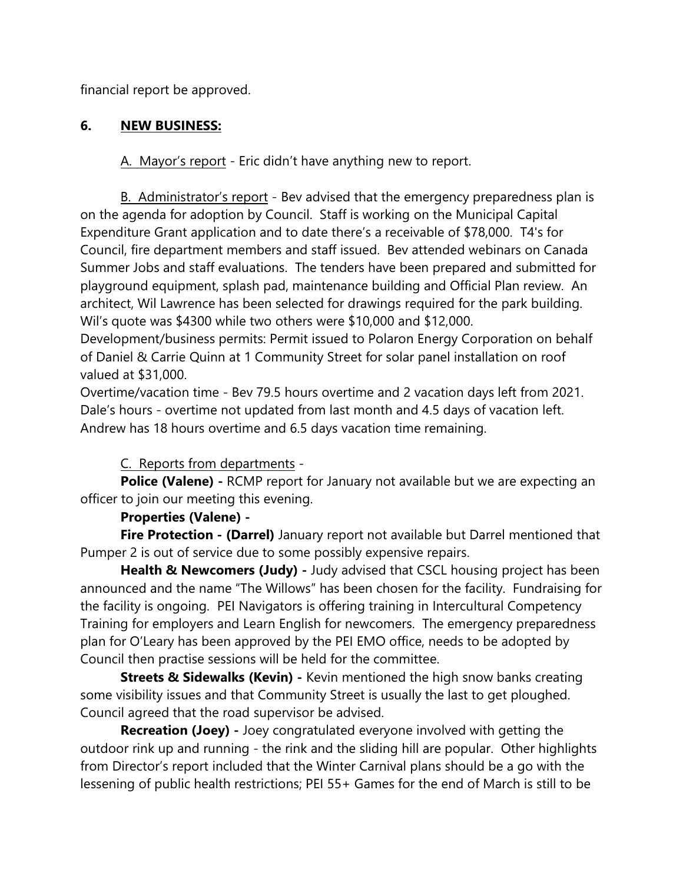financial report be approved.

## **6. NEW BUSINESS:**

A. Mayor's report - Eric didn't have anything new to report.

B. Administrator's report - Bev advised that the emergency preparedness plan is on the agenda for adoption by Council. Staff is working on the Municipal Capital Expenditure Grant application and to date there's a receivable of \$78,000. T4's for Council, fire department members and staff issued. Bev attended webinars on Canada Summer Jobs and staff evaluations. The tenders have been prepared and submitted for playground equipment, splash pad, maintenance building and Official Plan review. An architect, Wil Lawrence has been selected for drawings required for the park building. Wil's quote was \$4300 while two others were \$10,000 and \$12,000.

Development/business permits: Permit issued to Polaron Energy Corporation on behalf of Daniel & Carrie Quinn at 1 Community Street for solar panel installation on roof valued at \$31,000.

Overtime/vacation time - Bev 79.5 hours overtime and 2 vacation days left from 2021. Dale's hours - overtime not updated from last month and 4.5 days of vacation left. Andrew has 18 hours overtime and 6.5 days vacation time remaining.

## C. Reports from departments -

**Police (Valene)** - RCMP report for January not available but we are expecting an officer to join our meeting this evening.

#### **Properties (Valene) -**

**Fire Protection - (Darrel)** January report not available but Darrel mentioned that Pumper 2 is out of service due to some possibly expensive repairs.

**Health & Newcomers (Judy)** - Judy advised that CSCL housing project has been announced and the name "The Willows" has been chosen for the facility. Fundraising for the facility is ongoing. PEI Navigators is offering training in Intercultural Competency Training for employers and Learn English for newcomers. The emergency preparedness plan for O'Leary has been approved by the PEI EMO office, needs to be adopted by Council then practise sessions will be held for the committee.

**Streets & Sidewalks (Kevin)** - Kevin mentioned the high snow banks creating some visibility issues and that Community Street is usually the last to get ploughed. Council agreed that the road supervisor be advised.

**Recreation (Joey) -** Joey congratulated everyone involved with getting the outdoor rink up and running - the rink and the sliding hill are popular. Other highlights from Director's report included that the Winter Carnival plans should be a go with the lessening of public health restrictions; PEI 55+ Games for the end of March is still to be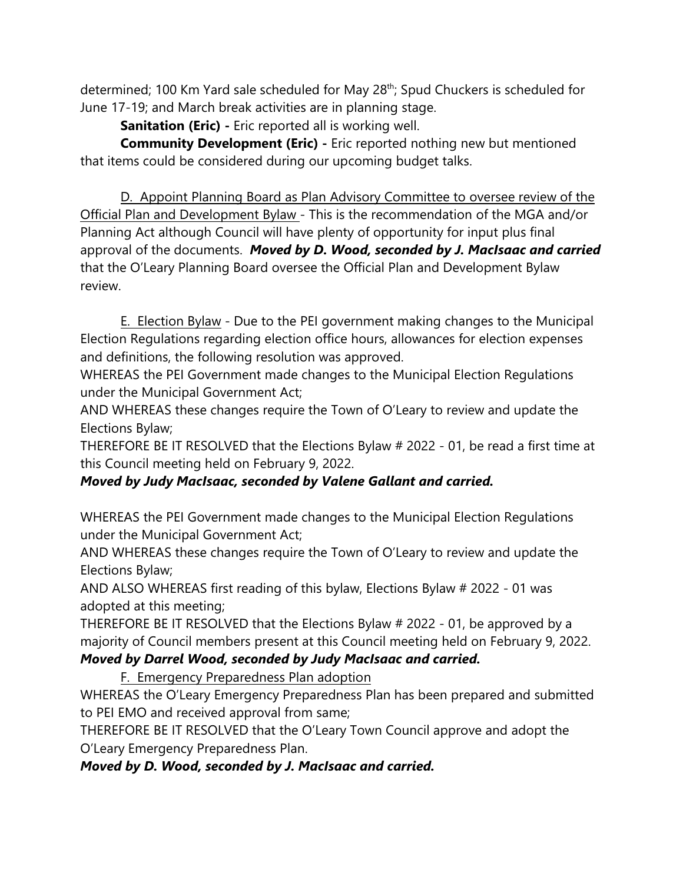determined; 100 Km Yard sale scheduled for May 28th; Spud Chuckers is scheduled for June 17-19; and March break activities are in planning stage.

**Sanitation (Eric) -** Eric reported all is working well.

**Community Development (Eric) -** Eric reported nothing new but mentioned that items could be considered during our upcoming budget talks.

D. Appoint Planning Board as Plan Advisory Committee to oversee review of the Official Plan and Development Bylaw - This is the recommendation of the MGA and/or Planning Act although Council will have plenty of opportunity for input plus final approval of the documents. *Moved by D. Wood, seconded by J. MacIsaac and carried* that the O'Leary Planning Board oversee the Official Plan and Development Bylaw review.

E. Election Bylaw - Due to the PEI government making changes to the Municipal Election Regulations regarding election office hours, allowances for election expenses and definitions, the following resolution was approved.

WHEREAS the PEI Government made changes to the Municipal Election Regulations under the Municipal Government Act;

AND WHEREAS these changes require the Town of O'Leary to review and update the Elections Bylaw;

THEREFORE BE IT RESOLVED that the Elections Bylaw # 2022 - 01, be read a first time at this Council meeting held on February 9, 2022.

# *Moved by Judy MacIsaac, seconded by Valene Gallant and carried.*

WHEREAS the PEI Government made changes to the Municipal Election Regulations under the Municipal Government Act;

AND WHEREAS these changes require the Town of O'Leary to review and update the Elections Bylaw;

AND ALSO WHEREAS first reading of this bylaw, Elections Bylaw # 2022 - 01 was adopted at this meeting;

THEREFORE BE IT RESOLVED that the Elections Bylaw # 2022 - 01, be approved by a majority of Council members present at this Council meeting held on February 9, 2022.

## *Moved by Darrel Wood, seconded by Judy MacIsaac and carried.*

F. Emergency Preparedness Plan adoption

WHEREAS the O'Leary Emergency Preparedness Plan has been prepared and submitted to PEI EMO and received approval from same;

THEREFORE BE IT RESOLVED that the O'Leary Town Council approve and adopt the O'Leary Emergency Preparedness Plan.

*Moved by D. Wood, seconded by J. MacIsaac and carried.*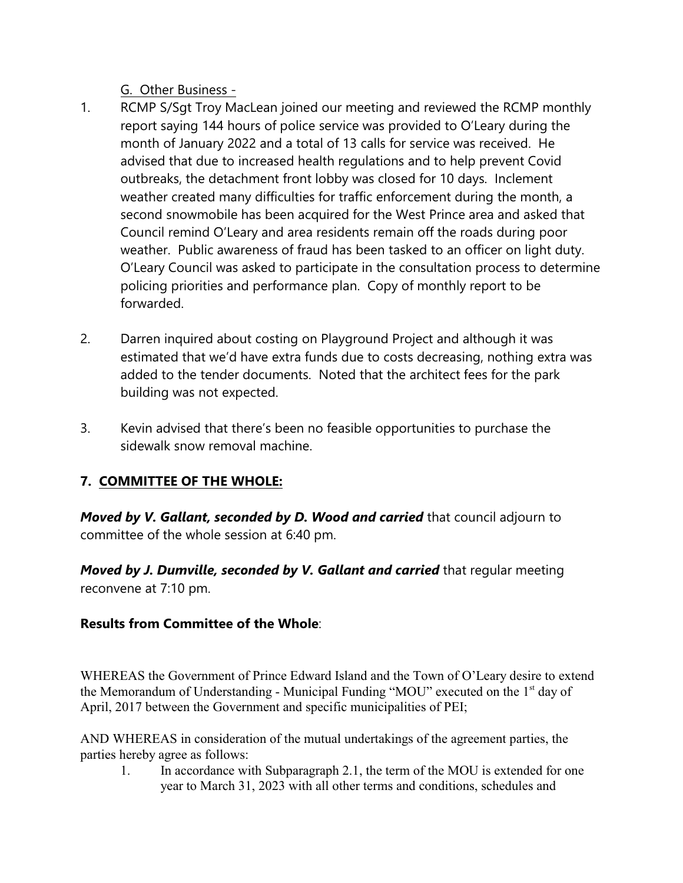G. Other Business -

- 1. RCMP S/Sgt Troy MacLean joined our meeting and reviewed the RCMP monthly report saying 144 hours of police service was provided to O'Leary during the month of January 2022 and a total of 13 calls for service was received. He advised that due to increased health regulations and to help prevent Covid outbreaks, the detachment front lobby was closed for 10 days. Inclement weather created many difficulties for traffic enforcement during the month, a second snowmobile has been acquired for the West Prince area and asked that Council remind O'Leary and area residents remain off the roads during poor weather. Public awareness of fraud has been tasked to an officer on light duty. O'Leary Council was asked to participate in the consultation process to determine policing priorities and performance plan. Copy of monthly report to be forwarded.
- 2. Darren inquired about costing on Playground Project and although it was estimated that we'd have extra funds due to costs decreasing, nothing extra was added to the tender documents. Noted that the architect fees for the park building was not expected.
- 3. Kevin advised that there's been no feasible opportunities to purchase the sidewalk snow removal machine.

# **7. COMMITTEE OF THE WHOLE:**

*Moved by V. Gallant, seconded by D. Wood and carried* that council adjourn to committee of the whole session at 6:40 pm.

*Moved by J. Dumville, seconded by V. Gallant and carried that regular meeting* reconvene at 7:10 pm.

# **Results from Committee of the Whole**:

WHEREAS the Government of Prince Edward Island and the Town of O'Leary desire to extend the Memorandum of Understanding - Municipal Funding "MOU" executed on the 1<sup>st</sup> day of April, 2017 between the Government and specific municipalities of PEI;

AND WHEREAS in consideration of the mutual undertakings of the agreement parties, the parties hereby agree as follows:

1. In accordance with Subparagraph 2.1, the term of the MOU is extended for one year to March 31, 2023 with all other terms and conditions, schedules and